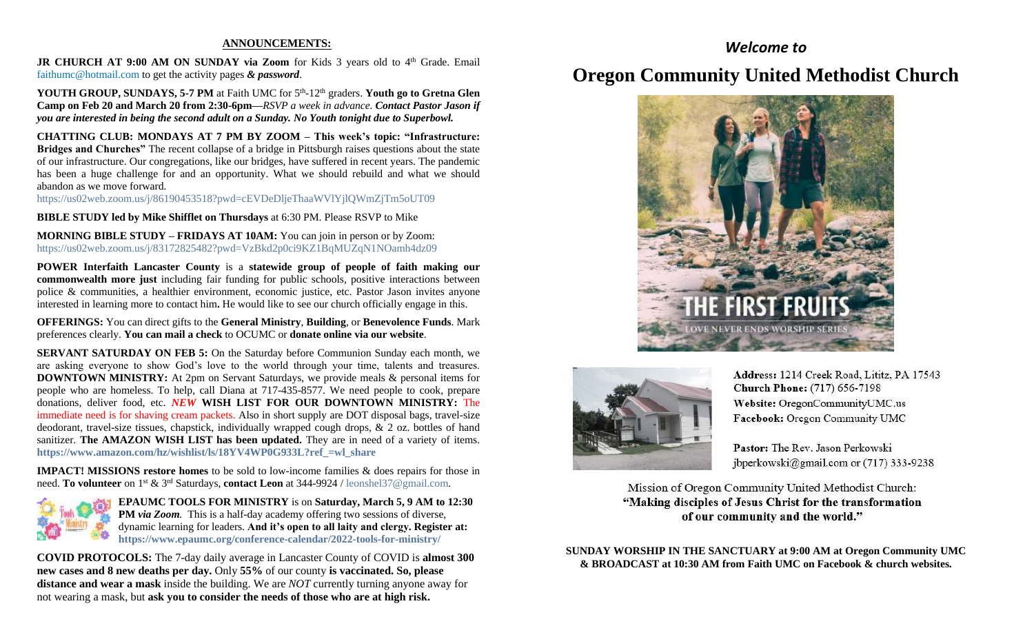#### **ANNOUNCEMENTS:**

JR CHURCH AT 9:00 AM ON SUNDAY via Zoom for Kids 3 years old to 4<sup>th</sup> Grade. Email [faithumc@hotmail.com](about:blank) to get the activity pages *& password*.

YOUTH GROUP, SUNDAYS, 5-7 PM at Faith UMC for 5<sup>th</sup>-12<sup>th</sup> graders. Youth go to Gretna Glen **Camp on Feb 20 and March 20 from 2:30-6pm—***RSVP a week in advance. Contact Pastor Jason if you are interested in being the second adult on a Sunday. No Youth tonight due to Superbowl.*

**CHATTING CLUB: MONDAYS AT 7 PM BY ZOOM – This week's topic: "Infrastructure: Bridges and Churches"** The recent collapse of a bridge in Pittsburgh raises questions about the state of our infrastructure. Our congregations, like our bridges, have suffered in recent years. The pandemic has been a huge challenge for and an opportunity. What we should rebuild and what we should abandon as we move forward.

https://us02web.zoom.us/j/86190453518?pwd=cEVDeDljeThaaWVlYjlQWmZjTm5oUT09

**BIBLE STUDY led by Mike Shifflet on Thursdays** at 6:30 PM. Please RSVP to Mike

**MORNING BIBLE STUDY – FRIDAYS AT 10AM:** You can join in person or by Zoom: <https://us02web.zoom.us/j/83172825482?pwd=VzBkd2p0ci9KZ1BqMUZqN1NOamh4dz09>

**POWER Interfaith Lancaster County** is a **statewide group of people of faith making our commonwealth more just** including fair funding for public schools, positive interactions between police & communities, a healthier environment, economic justice, etc. Pastor Jason invites anyone interested in learning more to contact him**.** He would like to see our church officially engage in this.

**OFFERINGS:** You can direct gifts to the **General Ministry**, **Building**, or **Benevolence Funds**. Mark preferences clearly. **You can mail a check** to OCUMC or **donate online via our website**.

**SERVANT SATURDAY ON FEB 5:** On the Saturday before Communion Sunday each month, we are asking everyone to show God's love to the world through your time, talents and treasures. **DOWNTOWN MINISTRY:** At 2pm on Servant Saturdays, we provide meals & personal items for people who are homeless. To help, call Diana at 717-435-8577. We need people to cook, prepare donations, deliver food, etc. *NEW* **WISH LIST FOR OUR DOWNTOWN MINISTRY:** The immediate need is for shaving cream packets. Also in short supply are DOT disposal bags, travel-size deodorant, travel-size tissues, chapstick, individually wrapped cough drops, & 2 oz. bottles of hand sanitizer. **The AMAZON WISH LIST has been updated.** They are in need of a variety of items. **[https://www.amazon.com/hz/wishlist/ls/18YV4WP0G933L?ref\\_=wl\\_share](https://www.amazon.com/hz/wishlist/ls/18YV4WP0G933L?ref_=wl_share)**

**IMPACT! MISSIONS restore homes** to be sold to low-income families & does repairs for those in need. **To volunteer** on 1st & 3rd Saturdays, **contact Leon** at 344-9924 / [leonshel37@gmail.com.](about:blank)



**EPAUMC TOOLS FOR MINISTRY** is on **Saturday, March 5, 9 AM to 12:30 PM** *via Zoom.* This is a half-day academy offering two sessions of diverse, dynamic learning for leaders. **And it's open to all laity and clergy. Register at: <https://www.epaumc.org/conference-calendar/2022-tools-for-ministry/>**

**COVID PROTOCOLS:** The 7-day daily average in Lancaster County of COVID is **almost 300 new cases and 8 new deaths per day.** Only **55%** of our county **is vaccinated. So, please distance and wear a mask** inside the building. We are *NOT* currently turning anyone away for not wearing a mask, but **ask you to consider the needs of those who are at high risk.**

### *Welcome to*

## **Oregon Community United Methodist Church**





Address: 1214 Creek Road, Lititz, PA 17543 **Church Phone:** (717) 656-7198 Website: OregonCommunityUMC.us Facebook: Oregon Community UMC

Pastor: The Rev. Jason Perkowski jbperkowski@gmail.com or (717) 333-9238

Mission of Oregon Community United Methodist Church: "Making disciples of Jesus Christ for the transformation of our community and the world."

**SUNDAY WORSHIP IN THE SANCTUARY at 9:00 AM at Oregon Community UMC & BROADCAST at 10:30 AM from Faith UMC on Facebook & church websites.**